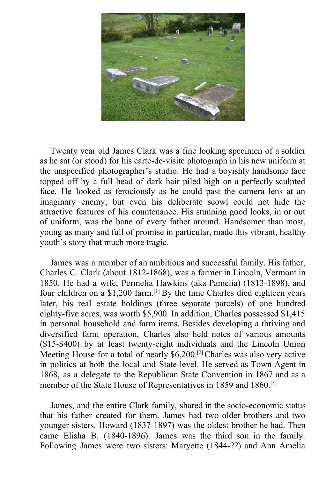

Twenty year old James Clark was a fine looking specimen of a soldier as he sat (or stood) for his carte-de-visite photograph in his new uniform at the unspecified photographer's studio. He had a boyishly handsome face topped off by a full head of dark hair piled high on a perfectly sculpted face. He looked as ferociously as he could past the camera lens at an imaginary enemy, but even his deliberate scowl could not hide the attractive features of his countenance. His stunning good looks, in or out of uniform, was the bane of every father around. Handsomer than most, young as many and full of promise in particular, made this vibrant, healthy youth's story that much more tragic.

James was a member of an ambitious and successful family. His father, Charles C. Clark (about 1812-1868), was a farmer in Lincoln, Vermont in 1850. He had a wife, Permelia Hawkins (aka Pamelia) (1813-1898), and four children on a \$1,200 farm.[1] By the time Charles died eighteen years later, his real estate holdings (three separate parcels) of one hundred eighty-five acres, was worth \$5,900. In addition, Charles possessed \$1,415 in personal household and farm items. Besides developing a thriving and diversified farm operation, Charles also held notes of various amounts (\$15-\$400) by at least twenty-eight individuals and the Lincoln Union Meeting House for a total of nearly  $$6,200$ <sup>[2]</sup>Charles was also very active in politics at both the local and State level. He served as Town Agent in 1868, as a delegate to the Republican State Convention in 1867 and as a member of the State House of Representatives in 1859 and 1860.[3]

James, and the entire Clark family, shared in the socio-economic status that his father created for them. James had two older brothers and two younger sisters. Howard (1837-1897) was the oldest brother he had. Then came Elisha B. (1840-1896). James was the third son in the family. Following James were two sisters: Maryette (1844-??) and Ann Amelia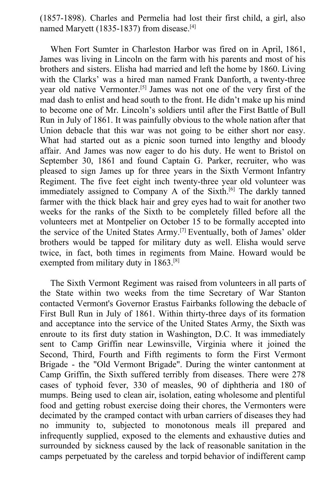(1857-1898). Charles and Permelia had lost their first child, a girl, also named Maryett (1835-1837) from disease.<sup>[4]</sup>

When Fort Sumter in Charleston Harbor was fired on in April, 1861, James was living in Lincoln on the farm with his parents and most of his brothers and sisters. Elisha had married and left the home by 1860. Living with the Clarks' was a hired man named Frank Danforth, a twenty-three year old native Vermonter.[5] James was not one of the very first of the mad dash to enlist and head south to the front. He didn't make up his mind to become one of Mr. Lincoln's soldiers until after the First Battle of Bull Run in July of 1861. It was painfully obvious to the whole nation after that Union debacle that this war was not going to be either short nor easy. What had started out as a picnic soon turned into lengthy and bloody affair. And James was now eager to do his duty. He went to Bristol on September 30, 1861 and found Captain G. Parker, recruiter, who was pleased to sign James up for three years in the Sixth Vermont Infantry Regiment. The five feet eight inch twenty-three year old volunteer was immediately assigned to Company A of the Sixth.<sup>[6]</sup> The darkly tanned farmer with the thick black hair and grey eyes had to wait for another two weeks for the ranks of the Sixth to be completely filled before all the volunteers met at Montpelier on October 15 to be formally accepted into the service of the United States Army.[7] Eventually, both of James' older brothers would be tapped for military duty as well. Elisha would serve twice, in fact, both times in regiments from Maine. Howard would be exempted from military duty in 1863.<sup>[8]</sup>

The Sixth Vermont Regiment was raised from volunteers in all parts of the State within two weeks from the time Secretary of War Stanton contacted Vermont's Governor Erastus Fairbanks following the debacle of First Bull Run in July of 1861. Within thirty-three days of its formation and acceptance into the service of the United States Army, the Sixth was enroute to its first duty station in Washington, D.C. It was immediately sent to Camp Griffin near Lewinsville, Virginia where it joined the Second, Third, Fourth and Fifth regiments to form the First Vermont Brigade - the "Old Vermont Brigade". During the winter cantonment at Camp Griffin, the Sixth suffered terribly from diseases. There were 278 cases of typhoid fever, 330 of measles, 90 of diphtheria and 180 of mumps. Being used to clean air, isolation, eating wholesome and plentiful food and getting robust exercise doing their chores, the Vermonters were decimated by the cramped contact with urban carriers of diseases they had no immunity to, subjected to monotonous meals ill prepared and infrequently supplied, exposed to the elements and exhaustive duties and surrounded by sickness caused by the lack of reasonable sanitation in the camps perpetuated by the careless and torpid behavior of indifferent camp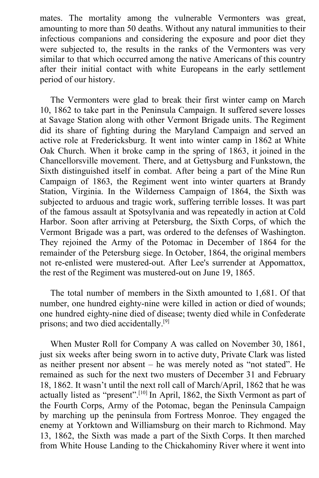mates. The mortality among the vulnerable Vermonters was great, amounting to more than 50 deaths. Without any natural immunities to their infectious companions and considering the exposure and poor diet they were subjected to, the results in the ranks of the Vermonters was very similar to that which occurred among the native Americans of this country after their initial contact with white Europeans in the early settlement period of our history.

The Vermonters were glad to break their first winter camp on March 10, 1862 to take part in the Peninsula Campaign. It suffered severe losses at Savage Station along with other Vermont Brigade units. The Regiment did its share of fighting during the Maryland Campaign and served an active role at Fredericksburg. It went into winter camp in 1862 at White Oak Church. When it broke camp in the spring of 1863, it joined in the Chancellorsville movement. There, and at Gettysburg and Funkstown, the Sixth distinguished itself in combat. After being a part of the Mine Run Campaign of 1863, the Regiment went into winter quarters at Brandy Station, Virginia. In the Wilderness Campaign of 1864, the Sixth was subjected to arduous and tragic work, suffering terrible losses. It was part of the famous assault at Spotsylvania and was repeatedly in action at Cold Harbor. Soon after arriving at Petersburg, the Sixth Corps, of which the Vermont Brigade was a part, was ordered to the defenses of Washington. They rejoined the Army of the Potomac in December of 1864 for the remainder of the Petersburg siege. In October, 1864, the original members not re-enlisted were mustered-out. After Lee's surrender at Appomattox, the rest of the Regiment was mustered-out on June 19, 1865.

The total number of members in the Sixth amounted to 1,681. Of that number, one hundred eighty-nine were killed in action or died of wounds; one hundred eighty-nine died of disease; twenty died while in Confederate prisons; and two died accidentally.<sup>[9]</sup>

When Muster Roll for Company A was called on November 30, 1861, just six weeks after being sworn in to active duty, Private Clark was listed as neither present nor absent – he was merely noted as "not stated". He remained as such for the next two musters of December 31 and February 18, 1862. It wasn't until the next roll call of March/April, 1862 that he was actually listed as "present".<sup>[10]</sup> In April, 1862, the Sixth Vermont as part of the Fourth Corps, Army of the Potomac, began the Peninsula Campaign by marching up the peninsula from Fortress Monroe. They engaged the enemy at Yorktown and Williamsburg on their march to Richmond. May 13, 1862, the Sixth was made a part of the Sixth Corps. It then marched from White House Landing to the Chickahominy River where it went into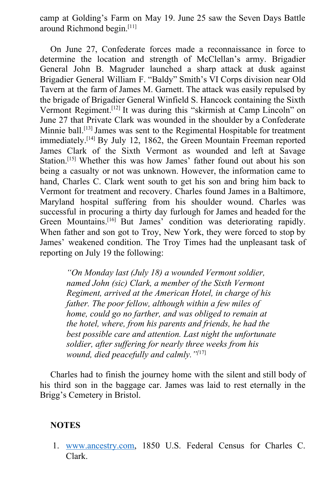camp at Golding's Farm on May 19. June 25 saw the Seven Days Battle around Richmond begin.[11]

On June 27, Confederate forces made a reconnaissance in force to determine the location and strength of McClellan's army. Brigadier General John B. Magruder launched a sharp attack at dusk against Brigadier General William F. "Baldy" Smith's VI Corps division near Old Tavern at the farm of James M. Garnett. The attack was easily repulsed by the brigade of Brigadier General Winfield S. Hancock containing the Sixth Vermont Regiment.<sup>[12]</sup> It was during this "skirmish at Camp Lincoln" on June 27 that Private Clark was wounded in the shoulder by a Confederate Minnie ball.[13] James was sent to the Regimental Hospitable for treatment immediately.<sup>[14]</sup> By July 12, 1862, the Green Mountain Freeman reported James Clark of the Sixth Vermont as wounded and left at Savage Station.<sup>[15]</sup> Whether this was how James' father found out about his son being a casualty or not was unknown. However, the information came to hand, Charles C. Clark went south to get his son and bring him back to Vermont for treatment and recovery. Charles found James in a Baltimore, Maryland hospital suffering from his shoulder wound. Charles was successful in procuring a thirty day furlough for James and headed for the Green Mountains.<sup>[16]</sup> But James' condition was deteriorating rapidly. When father and son got to Troy, New York, they were forced to stop by James' weakened condition. The Troy Times had the unpleasant task of reporting on July 19 the following:

*"On Monday last (July 18) a wounded Vermont soldier, named John (sic) Clark, a member of the Sixth Vermont Regiment, arrived at the American Hotel, in charge of his father. The poor fellow, although within a few miles of home, could go no farther, and was obliged to remain at the hotel, where, from his parents and friends, he had the best possible care and attention. Last night the unfortunate soldier, after suffering for nearly three weeks from his wound, died peacefully and calmly."[*17]

Charles had to finish the journey home with the silent and still body of his third son in the baggage car. James was laid to rest eternally in the Brigg's Cemetery in Bristol.

## **NOTES**

1. [www.ancestry.com,](http://www.ancestry.com/) 1850 U.S. Federal Census for Charles C. Clark.